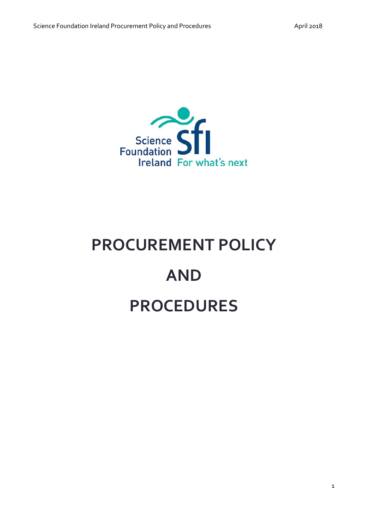

# **PROCUREMENT POLICY AND PROCEDURES**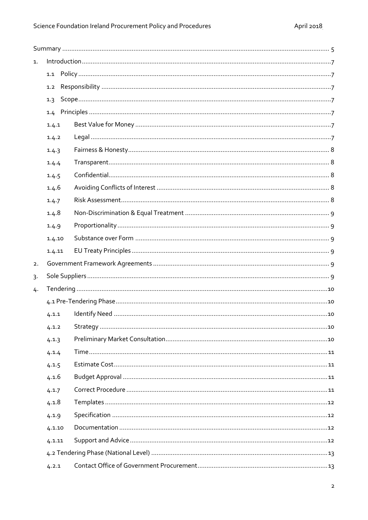| 1. |        |  |  |  |
|----|--------|--|--|--|
|    |        |  |  |  |
|    | 1.2    |  |  |  |
|    | 1.3    |  |  |  |
|    |        |  |  |  |
|    | 1.4.1  |  |  |  |
|    | 1.4.2  |  |  |  |
|    | 1.4.3  |  |  |  |
|    | 1.4.4  |  |  |  |
|    | 1.4.5  |  |  |  |
|    | 1.4.6  |  |  |  |
|    | 1.4.7  |  |  |  |
|    | 1.4.8  |  |  |  |
|    | 1.4.9  |  |  |  |
|    | 1.4.10 |  |  |  |
|    | 1.4.11 |  |  |  |
| 2. |        |  |  |  |
| 3. |        |  |  |  |
| 4. |        |  |  |  |
|    |        |  |  |  |
|    | 4.1.1  |  |  |  |
|    | 4.1.2  |  |  |  |
|    | 4.1.3  |  |  |  |
|    | 4.1.4  |  |  |  |
|    | 4.1.5  |  |  |  |
|    | 4.1.6  |  |  |  |
|    | 4.1.7  |  |  |  |
|    | 4.1.8  |  |  |  |
|    | 4.1.9  |  |  |  |
|    | 4.1.10 |  |  |  |
|    | 4.1.11 |  |  |  |
|    |        |  |  |  |
|    | 4.2.1  |  |  |  |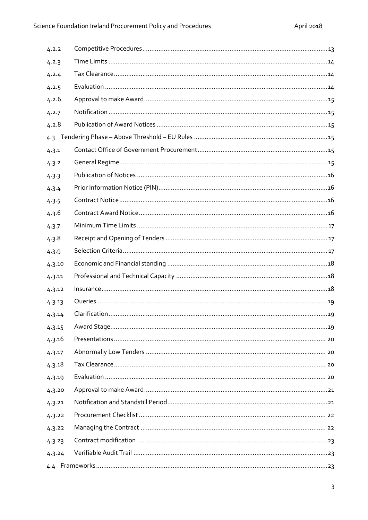| 4.2.2  |  |  |  |  |
|--------|--|--|--|--|
| 4.2.3  |  |  |  |  |
| 4.2.4  |  |  |  |  |
| 4.2.5  |  |  |  |  |
| 4.2.6  |  |  |  |  |
| 4.2.7  |  |  |  |  |
| 4.2.8  |  |  |  |  |
| 4.3    |  |  |  |  |
| 4.3.1  |  |  |  |  |
| 4.3.2  |  |  |  |  |
| 4.3.3  |  |  |  |  |
| 4.3.4  |  |  |  |  |
| 4.3.5  |  |  |  |  |
| 4.3.6  |  |  |  |  |
| 4.3.7  |  |  |  |  |
| 4.3.8  |  |  |  |  |
| 4.3.9  |  |  |  |  |
| 4.3.10 |  |  |  |  |
| 4.3.11 |  |  |  |  |
| 4.3.12 |  |  |  |  |
| 4.3.13 |  |  |  |  |
| 4.3.14 |  |  |  |  |
| 4.3.15 |  |  |  |  |
| 4.3.16 |  |  |  |  |
| 4.3.17 |  |  |  |  |
| 4.3.18 |  |  |  |  |
| 4.3.19 |  |  |  |  |
| 4.3.20 |  |  |  |  |
| 4.3.21 |  |  |  |  |
| 4.3.22 |  |  |  |  |
| 4.3.22 |  |  |  |  |
| 4.3.23 |  |  |  |  |
| 4.3.24 |  |  |  |  |
|        |  |  |  |  |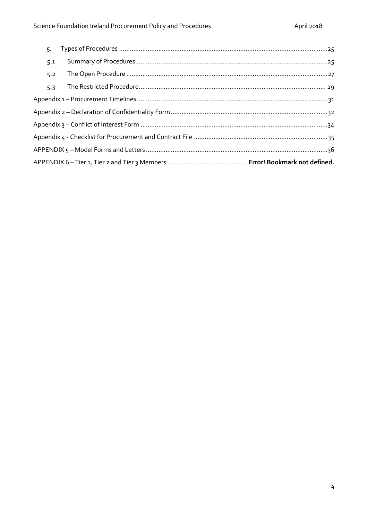| 5.  |  |
|-----|--|
| 5.1 |  |
| 5.2 |  |
| 5.3 |  |
|     |  |
|     |  |
|     |  |
|     |  |
|     |  |
|     |  |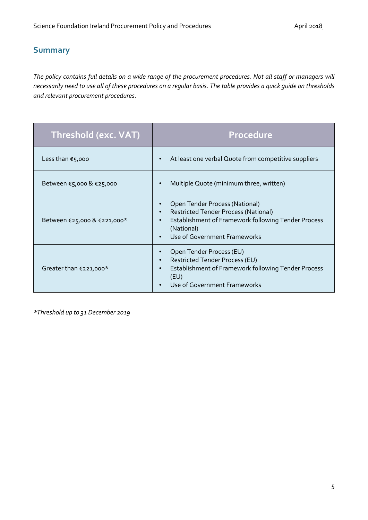# <span id="page-4-0"></span>**Summary**

*The policy contains full details on a wide range of the procurement procedures. Not all staff or managers will necessarily need to use all of these procedures on a regular basis. The table provides a quick guide on thresholds and relevant procurement procedures.*

| Threshold (exc. VAT)        | Procedure                                                                                                                                                                                                                 |
|-----------------------------|---------------------------------------------------------------------------------------------------------------------------------------------------------------------------------------------------------------------------|
| Less than $\epsilon$ 5,000  | At least one verbal Quote from competitive suppliers<br>$\bullet$                                                                                                                                                         |
| Between €5,000 & €25,000    | Multiple Quote (minimum three, written)<br>$\bullet$                                                                                                                                                                      |
| Between €25,000 & €221,000* | Open Tender Process (National)<br><b>Restricted Tender Process (National)</b><br>$\bullet$<br>Establishment of Framework following Tender Process<br>$\bullet$<br>(National)<br>Use of Government Frameworks<br>$\bullet$ |
| Greater than €221,000*      | Open Tender Process (EU)<br>$\bullet$<br>Restricted Tender Process (EU)<br>$\bullet$<br>Establishment of Framework following Tender Process<br>$\bullet$<br>(EU)<br>Use of Government Frameworks                          |

*\*Threshold up to 31 December 2019*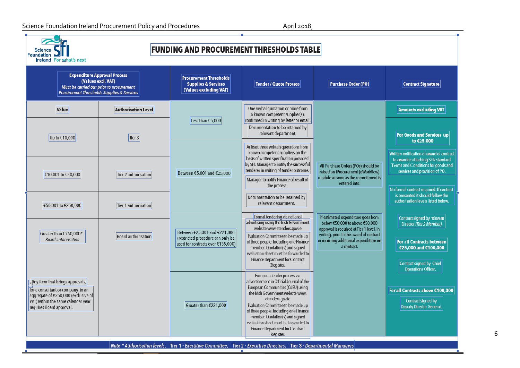# Science Foundation Ireland Procurement Policy and Procedures April 2018

| <b>FUNDING AND PROCUREMENT THRESHOLDS TABLE</b><br><b>Sclence</b><br>Foundation<br><b>Ireland For mahat's next</b>                                                             |                                                                                                                               |                                                                                           |                                                                                                                                                                                                                                                                                                                                                                                         |                                                                                                                                                                                                       |                                                                                                                                                                                                    |
|--------------------------------------------------------------------------------------------------------------------------------------------------------------------------------|-------------------------------------------------------------------------------------------------------------------------------|-------------------------------------------------------------------------------------------|-----------------------------------------------------------------------------------------------------------------------------------------------------------------------------------------------------------------------------------------------------------------------------------------------------------------------------------------------------------------------------------------|-------------------------------------------------------------------------------------------------------------------------------------------------------------------------------------------------------|----------------------------------------------------------------------------------------------------------------------------------------------------------------------------------------------------|
| (Values excl. VAT)                                                                                                                                                             | <b>Expenditure Approval Process</b><br>Must be carried out prior to procurement<br>Procurement Thresholds Supplies & Services | <b>Procurement Thresholds</b><br><b>Supplies &amp; Services</b><br>(Values excluding VAT) | Tender / Quote Process                                                                                                                                                                                                                                                                                                                                                                  | <b>Purchase Order (PO)</b>                                                                                                                                                                            | <b>Contract Signature</b>                                                                                                                                                                          |
| Value                                                                                                                                                                          | <b>Authorisation Level</b>                                                                                                    |                                                                                           | One verbal quotation or more from<br>a known competent supplier(s),                                                                                                                                                                                                                                                                                                                     |                                                                                                                                                                                                       | <b>Amounts excluding VAT</b>                                                                                                                                                                       |
| Up to €10,000                                                                                                                                                                  | Tier $3$                                                                                                                      | Less than $£5,000$                                                                        | confirmed in writing by letter or email.<br>Documentation to be retained by<br>relevant department.                                                                                                                                                                                                                                                                                     |                                                                                                                                                                                                       | For Goods and Services up<br>to €25,000                                                                                                                                                            |
| €10,001 to €50,000                                                                                                                                                             | Tier 2 authorisation                                                                                                          | Between €5,001 and €25,000                                                                | At least three written quotations from<br>known competent suppliers on the<br>basis of written specification provided<br>by SFI. Manager to notify the successful<br>tenderer in writing of tender outcome.<br>Manager to notify Finance of result of<br>the process.                                                                                                                   | All Purchase Orders (POs) should be<br>raised on iProcurement (eWorkflow)<br>module as soon as the commitment is<br>entered into.                                                                     | Written notification of award of contract<br>to awardee attaching SFIs standard<br>Terms and Conditions for goods and<br>services and provision of PO.<br>No formal contract required. If contract |
| €50,001 to €250,000                                                                                                                                                            | Tier 1 authorisation                                                                                                          |                                                                                           | Documentation to be retained by<br>relevant department.                                                                                                                                                                                                                                                                                                                                 |                                                                                                                                                                                                       | is presented it should follow the<br>authorisation levels listed below.                                                                                                                            |
| Greater than €250,000* -<br><b>Board authorisation</b>                                                                                                                         | <b>Board authorisation</b>                                                                                                    | Between €25,001 and €221,000<br>(restricted procedure can only be                         | Formal tendering via national<br>advertising using the Irish Government<br>website www.etenders.gov.ie<br>Evaluation Committee to be made up                                                                                                                                                                                                                                            | If estimated expenditure goes from<br>below €50,000 to above €50,000<br>approval is required at Tier 1 level, in<br>writing, prior to the award of contract<br>or incurring additional expenditure on | Contract signed by relevant<br>Director (Tier 2 Member)                                                                                                                                            |
|                                                                                                                                                                                |                                                                                                                               | used for contracts over €135,000)                                                         | of three people, including one Finance<br>member. Quotation(s) and signed<br>evaluation sheet must be forwarded to<br>Finance Department for Contract<br>Register.                                                                                                                                                                                                                      | a contract.                                                                                                                                                                                           | <b>For all Contracts between</b><br>€25,000 and €100,000<br>Contract signed by Chief<br><b>Operations Officer.</b>                                                                                 |
| Any item that brings approvals,<br>for a consultant or company, to an<br>aggregate of €250,000 (exclusive of<br>VAT) within the same calendar year<br>requires Board approval. |                                                                                                                               | Greater than €221,000                                                                     | European tender process via<br>advertisement in Official Journal of the<br>European Communities (OJEU) using<br>the Irish Government website www.<br>etenders.gov.ie<br>Evaluation Committee to be made up<br>of three people, including one Finance<br>member. Quotation(s) and signed<br>evaluation sheet must be forwarded to<br><b>Finance Department for Contract</b><br>Register. |                                                                                                                                                                                                       | For all Contracts above €100,000<br>Contract signed by<br><b>Deputy Director General.</b>                                                                                                          |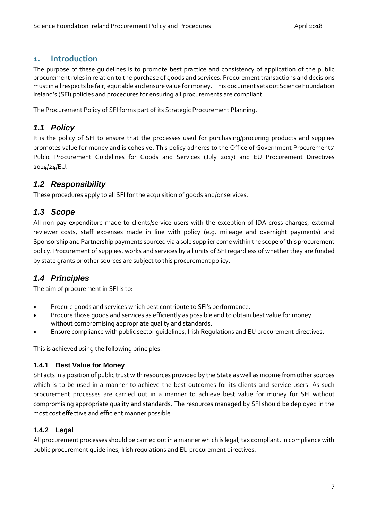# <span id="page-6-0"></span>**1. Introduction**

The purpose of these guidelines is to promote best practice and consistency of application of the public procurement rules in relation to the purchase of goods and services. Procurement transactions and decisions must in all respects be fair, equitable and ensure value for money. This document sets out Science Foundation Ireland's (SFI) policies and procedures for ensuring all procurements are compliant.

The Procurement Policy of SFI forms part of its Strategic Procurement Planning.

# <span id="page-6-1"></span>*1.1 Policy*

It is the policy of SFI to ensure that the processes used for purchasing/procuring products and supplies promotes value for money and is cohesive. This policy adheres to the Office of Government Procurements' Public Procurement Guidelines for Goods and Services (July 2017) and EU Procurement Directives 2014/24/EU.

# <span id="page-6-2"></span>*1.2 Responsibility*

These procedures apply to all SFI for the acquisition of goods and/or services.

# <span id="page-6-3"></span>*1.3 Scope*

All non-pay expenditure made to clients/service users with the exception of IDA cross charges, external reviewer costs, staff expenses made in line with policy (e.g. mileage and overnight payments) and Sponsorship and Partnership payments sourced via a sole supplier come within the scope of this procurement policy. Procurement of supplies, works and services by all units of SFI regardless of whether they are funded by state grants or other sources are subject to this procurement policy.

# <span id="page-6-4"></span>*1.4 Principles*

The aim of procurement in SFI is to:

- Procure goods and services which best contribute to SFI's performance.
- Procure those goods and services as efficiently as possible and to obtain best value for money without compromising appropriate quality and standards.
- Ensure compliance with public sector guidelines, Irish Regulations and EU procurement directives.

This is achieved using the following principles.

# <span id="page-6-5"></span>**1.4.1 Best Value for Money**

SFI acts in a position of public trust with resources provided by the State as well as income from other sources which is to be used in a manner to achieve the best outcomes for its clients and service users. As such procurement processes are carried out in a manner to achieve best value for money for SFI without compromising appropriate quality and standards. The resources managed by SFI should be deployed in the most cost effective and efficient manner possible.

# <span id="page-6-6"></span>**1.4.2 Legal**

All procurement processes should be carried out in a manner which is legal, tax compliant, in compliance with public procurement guidelines, Irish regulations and EU procurement directives.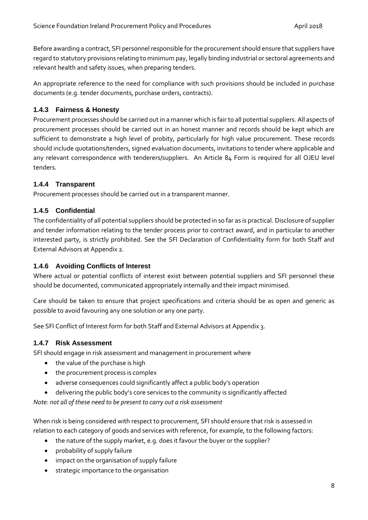Before awarding a contract, SFI personnel responsible for the procurement should ensure that suppliers have regard to statutory provisions relating to minimum pay, legally binding industrial or sectoral agreements and relevant health and safety issues, when preparing tenders.

An appropriate reference to the need for compliance with such provisions should be included in purchase documents (e.g. tender documents, purchase orders, contracts).

# <span id="page-7-0"></span>**1.4.3 Fairness & Honesty**

Procurement processes should be carried out in a manner which is fair to all potential suppliers. All aspects of procurement processes should be carried out in an honest manner and records should be kept which are sufficient to demonstrate a high level of probity, particularly for high value procurement. These records should include quotations/tenders, signed evaluation documents, invitations to tender where applicable and any relevant correspondence with tenderers/suppliers. An Article 84 Form is required for all OJEU level tenders.

# <span id="page-7-1"></span>**1.4.4 Transparent**

Procurement processes should be carried out in a transparent manner.

# <span id="page-7-2"></span>**1.4.5 Confidential**

The confidentiality of all potential suppliers should be protected in so far as is practical. Disclosure of supplier and tender information relating to the tender process prior to contract award, and in particular to another interested party, is strictly prohibited. See the SFI Declaration of Confidentiality form for both Staff and External Advisors at Appendix 2.

# <span id="page-7-3"></span>**1.4.6 Avoiding Conflicts of Interest**

Where actual or potential conflicts of interest exist between potential suppliers and SFI personnel these should be documented, communicated appropriately internally and their impact minimised.

Care should be taken to ensure that project specifications and criteria should be as open and generic as possible to avoid favouring any one solution or any one party.

See SFI Conflict of Interest form for both Staff and External Advisors at Appendix 3.

# <span id="page-7-4"></span>**1.4.7 Risk Assessment**

SFI should engage in risk assessment and management in procurement where

- the value of the purchase is high
- the procurement process is complex
- adverse consequences could significantly affect a public body's operation
- delivering the public body's core services to the community is significantly affected

*Note: not all of these need to be present to carry out a risk assessment*

When risk is being considered with respect to procurement, SFI should ensure that risk is assessed in relation to each category of goods and services with reference, for example, to the following factors:

- the nature of the supply market, e.g. does it favour the buyer or the supplier?
- probability of supply failure
- impact on the organisation of supply failure
- strategic importance to the organisation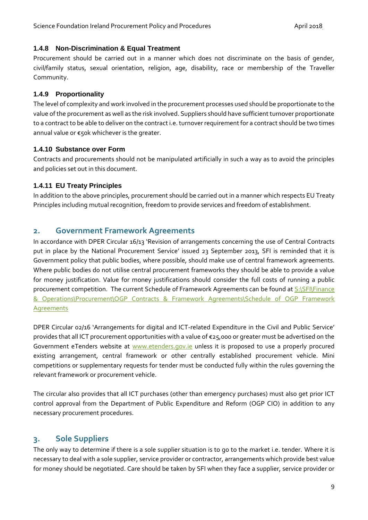#### <span id="page-8-0"></span>**1.4.8 Non-Discrimination & Equal Treatment**

Procurement should be carried out in a manner which does not discriminate on the basis of gender, civil/family status, sexual orientation, religion, age, disability, race or membership of the Traveller Community.

# <span id="page-8-1"></span>**1.4.9 Proportionality**

The level of complexity and work involved in the procurement processes used should be proportionate to the value of the procurement as well as the risk involved. Suppliers should have sufficient turnover proportionate to a contract to be able to deliver on the contract i.e. turnover requirement for a contract should be two times annual value or €50k whichever is the greater.

# <span id="page-8-2"></span>**1.4.10 Substance over Form**

Contracts and procurements should not be manipulated artificially in such a way as to avoid the principles and policies set out in this document.

# <span id="page-8-3"></span>**1.4.11 EU Treaty Principles**

In addition to the above principles, procurement should be carried out in a manner which respects EU Treaty Principles including mutual recognition, freedom to provide services and freedom of establishment.

# <span id="page-8-4"></span>**2. Government Framework Agreements**

In accordance with DPER Circular 16/13 'Revision of arrangements concerning the use of Central Contracts put in place by the National Procurement Service' issued 23 September 2013, SFI is reminded that it is Government policy that public bodies, where possible, should make use of central framework agreements. Where public bodies do not utilise central procurement frameworks they should be able to provide a value for money justification. Value for money justifications should consider the full costs of running a public procurement competition. The current Schedule of Framework Agreements can be found at S:\SFI\Finance [& Operations\Procurement\OGP Contracts & Framework Agreements\Schedule of OGP Framework](file://///SFI-FILESERVER/Shared/SFI/Finance%20&%20Operations/Procurement/OGP%20Contracts%20&%20Framework%20Agreements/Schedule%20of%20OGP%20Framework%20Agreements)  [Agreements](file://///SFI-FILESERVER/Shared/SFI/Finance%20&%20Operations/Procurement/OGP%20Contracts%20&%20Framework%20Agreements/Schedule%20of%20OGP%20Framework%20Agreements)

DPER Circular 02/16 'Arrangements for digital and ICT-related Expenditure in the Civil and Public Service' provides that all ICT procurement opportunities with a value of €25,000 or greater must be advertised on the Government eTenders website at [www.etenders.gov.ie](http://www.etenders.gov.ie/) unless it is proposed to use a properly procured existing arrangement, central framework or other centrally established procurement vehicle. Mini competitions or supplementary requests for tender must be conducted fully within the rules governing the relevant framework or procurement vehicle.

The circular also provides that all ICT purchases (other than emergency purchases) must also get prior ICT control approval from the Department of Public Expenditure and Reform (OGP CIO) in addition to any necessary procurement procedures.

# <span id="page-8-5"></span>**3. Sole Suppliers**

The only way to determine if there is a sole supplier situation is to go to the market i.e. tender. Where it is necessary to deal with a sole supplier, service provider or contractor, arrangements which provide best value for money should be negotiated. Care should be taken by SFI when they face a supplier, service provider or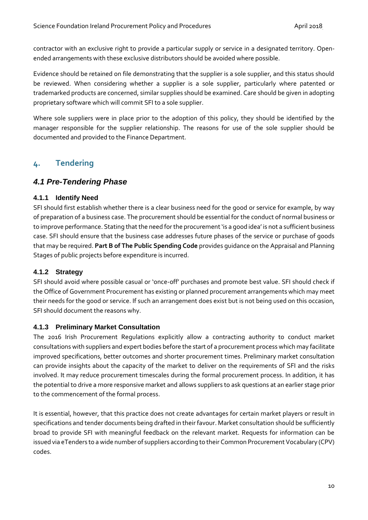contractor with an exclusive right to provide a particular supply or service in a designated territory. Openended arrangements with these exclusive distributors should be avoided where possible.

Evidence should be retained on file demonstrating that the supplier is a sole supplier, and this status should be reviewed. When considering whether a supplier is a sole supplier, particularly where patented or trademarked products are concerned, similar supplies should be examined. Care should be given in adopting proprietary software which will commit SFI to a sole supplier.

Where sole suppliers were in place prior to the adoption of this policy, they should be identified by the manager responsible for the supplier relationship. The reasons for use of the sole supplier should be documented and provided to the Finance Department.

# <span id="page-9-0"></span>**4. Tendering**

# <span id="page-9-1"></span>*4.1 Pre-Tendering Phase*

# <span id="page-9-2"></span>**4.1.1 Identify Need**

SFI should first establish whether there is a clear business need for the good or service for example, by way of preparation of a business case. The procurement should be essential for the conduct of normal business or to improve performance. Stating that the need forthe procurement 'is a good idea' is not a sufficient business case. SFI should ensure that the business case addresses future phases of the service or purchase of goods that may be required. **Part B of The Public Spending Code** provides guidance on the Appraisal and Planning Stages of public projects before expenditure is incurred.

# <span id="page-9-3"></span>**4.1.2 Strategy**

SFI should avoid where possible casual or 'once-off' purchases and promote best value. SFI should check if the Office of Government Procurement has existing or planned procurement arrangements which may meet their needs for the good or service. If such an arrangement does exist but is not being used on this occasion, SFI should document the reasons why.

# <span id="page-9-4"></span>**4.1.3 Preliminary Market Consultation**

The 2016 Irish Procurement Regulations explicitly allow a contracting authority to conduct market consultations with suppliers and expert bodies before the start of a procurement process which may facilitate improved specifications, better outcomes and shorter procurement times. Preliminary market consultation can provide insights about the capacity of the market to deliver on the requirements of SFI and the risks involved. It may reduce procurement timescales during the formal procurement process. In addition, it has the potential to drive a more responsive market and allows suppliers to ask questions at an earlier stage prior to the commencement of the formal process.

It is essential, however, that this practice does not create advantages for certain market players or result in specifications and tender documents being drafted in their favour. Market consultation should be sufficiently broad to provide SFI with meaningful feedback on the relevant market. Requests for information can be issued via eTenders to a wide number of suppliers according to their Common Procurement Vocabulary (CPV) codes.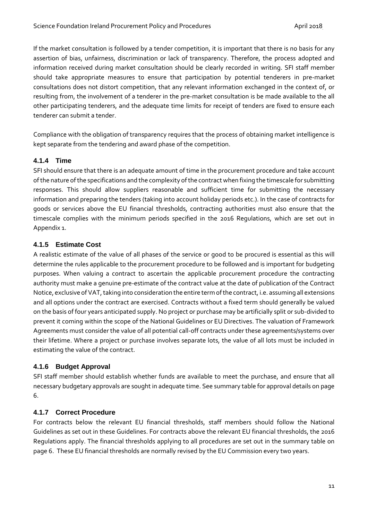If the market consultation is followed by a tender competition, it is important that there is no basis for any assertion of bias, unfairness, discrimination or lack of transparency. Therefore, the process adopted and information received during market consultation should be clearly recorded in writing. SFI staff member should take appropriate measures to ensure that participation by potential tenderers in pre-market consultations does not distort competition, that any relevant information exchanged in the context of, or resulting from, the involvement of a tenderer in the pre-market consultation is be made available to the all other participating tenderers, and the adequate time limits for receipt of tenders are fixed to ensure each tenderer can submit a tender.

Compliance with the obligation of transparency requires that the process of obtaining market intelligence is kept separate from the tendering and award phase of the competition.

# <span id="page-10-0"></span>**4.1.4 Time**

SFI should ensure that there is an adequate amount of time in the procurement procedure and take account of the nature of the specifications and the complexity of the contract when fixing the timescale for submitting responses. This should allow suppliers reasonable and sufficient time for submitting the necessary information and preparing the tenders (taking into account holiday periods etc.). In the case of contracts for goods or services above the EU financial thresholds, contracting authorities must also ensure that the timescale complies with the minimum periods specified in the 2016 Regulations, which are set out in Appendix 1.

# <span id="page-10-1"></span>**4.1.5 Estimate Cost**

A realistic estimate of the value of all phases of the service or good to be procured is essential as this will determine the rules applicable to the procurement procedure to be followed and is important for budgeting purposes. When valuing a contract to ascertain the applicable procurement procedure the contracting authority must make a genuine pre-estimate of the contract value at the date of publication of the Contract Notice, exclusive ofVAT, taking into consideration the entire term of the contract, i.e. assuming all extensions and all options under the contract are exercised. Contracts without a fixed term should generally be valued on the basis of four years anticipated supply. No project or purchase may be artificially split or sub-divided to prevent it coming within the scope of the National Guidelines or EU Directives. The valuation of Framework Agreements must consider the value of all potential call-off contracts under these agreements/systems over their lifetime. Where a project or purchase involves separate lots, the value of all lots must be included in estimating the value of the contract.

# <span id="page-10-2"></span>**4.1.6 Budget Approval**

SFI staff member should establish whether funds are available to meet the purchase, and ensure that all necessary budgetary approvals are sought in adequate time. See summary table for approval details on page 6.

# <span id="page-10-3"></span>**4.1.7 Correct Procedure**

For contracts below the relevant EU financial thresholds, staff members should follow the National Guidelines as set out in these Guidelines. For contracts above the relevant EU financial thresholds, the 2016 Regulations apply. The financial thresholds applying to all procedures are set out in the summary table on page 6. These EU financial thresholds are normally revised by the EU Commission every two years.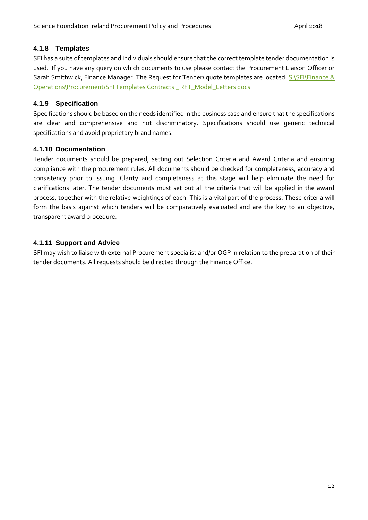# <span id="page-11-0"></span>**4.1.8 Templates**

SFI has a suite of templates and individuals should ensure that the correct template tender documentation is used. If you have any query on which documents to use please contact the Procurement Liaison Officer or Sarah Smithwick, Finance Manager. The Request for Tender/ quote templates are located: S:\SFI\Finance & [Operations\Procurement\SFI Templates Contracts \\_ RFT\\_Model\\_Letters docs](file://///SFI-FILESERVER/Shared/SFI/Finance%20&%20Operations/Procurement/SFI%20Templates%20Contracts%20_%20RFT_Model_Letters%20docs)

# <span id="page-11-1"></span>**4.1.9 Specification**

Specifications should be based on the needs identified in the business case and ensure that the specifications are clear and comprehensive and not discriminatory. Specifications should use generic technical specifications and avoid proprietary brand names.

# <span id="page-11-2"></span>**4.1.10 Documentation**

Tender documents should be prepared, setting out Selection Criteria and Award Criteria and ensuring compliance with the procurement rules. All documents should be checked for completeness, accuracy and consistency prior to issuing. Clarity and completeness at this stage will help eliminate the need for clarifications later. The tender documents must set out all the criteria that will be applied in the award process, together with the relative weightings of each. This is a vital part of the process. These criteria will form the basis against which tenders will be comparatively evaluated and are the key to an objective, transparent award procedure.

# <span id="page-11-3"></span>**4.1.11 Support and Advice**

SFI may wish to liaise with external Procurement specialist and/or OGP in relation to the preparation of their tender documents. All requests should be directed through the Finance Office.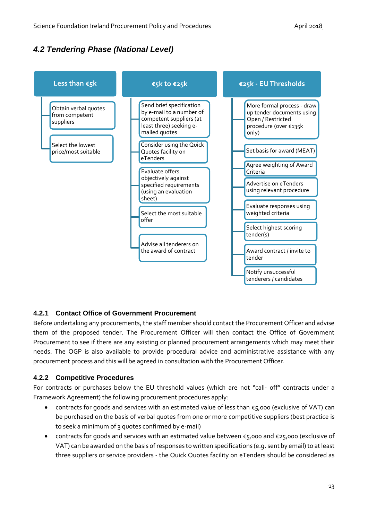# <span id="page-12-0"></span>*4.2 Tendering Phase (National Level)*



# <span id="page-12-1"></span>**4.2.1 Contact Office of Government Procurement**

Before undertaking any procurements, the staff member should contact the Procurement Officer and advise them of the proposed tender. The Procurement Officer will then contact the Office of Government Procurement to see if there are any existing or planned procurement arrangements which may meet their needs. The OGP is also available to provide procedural advice and administrative assistance with any procurement process and this will be agreed in consultation with the Procurement Officer.

# <span id="page-12-2"></span>**4.2.2 Competitive Procedures**

For contracts or purchases below the EU threshold values (which are not "call- off" contracts under a Framework Agreement) the following procurement procedures apply:

- contracts for goods and services with an estimated value of less than  $\epsilon$ 5,000 (exclusive of VAT) can be purchased on the basis of verbal quotes from one or more competitive suppliers (best practice is to seek a minimum of 3 quotes confirmed by e-mail)
- contracts for goods and services with an estimated value between €5,000 and €25,000 (exclusive of VAT) can be awarded on the basis of responses to written specifications (e.g. sent by email) to at least three suppliers or service providers - the Quick Quotes facility on eTenders should be considered as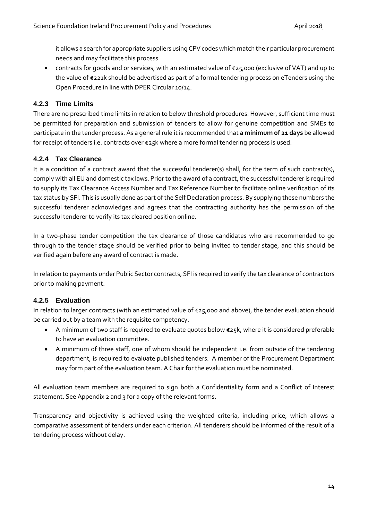it allows a search for appropriate suppliers using CPV codes which match their particular procurement needs and may facilitate this process

• contracts for goods and or services, with an estimated value of €25,000 (exclusive of VAT) and up to the value of €221k should be advertised as part of a formal tendering process on eTenders using the Open Procedure in line with DPER Circular 10/14.

# <span id="page-13-0"></span>**4.2.3 Time Limits**

There are no prescribed time limits in relation to below threshold procedures. However, sufficient time must be permitted for preparation and submission of tenders to allow for genuine competition and SMEs to participate in the tender process. As a general rule it is recommended that **a minimum of 21 days** be allowed for receipt of tenders i.e. contracts over €25k where a more formal tendering process is used.

# <span id="page-13-1"></span>**4.2.4 Tax Clearance**

It is a condition of a contract award that the successful tenderer(s) shall, for the term of such contract(s), comply with all EU and domestic tax laws. Prior to the award of a contract, the successful tenderer is required to supply its Tax Clearance Access Number and Tax Reference Number to facilitate online verification of its tax status by SFI. This is usually done as part of the Self Declaration process. By supplying these numbers the successful tenderer acknowledges and agrees that the contracting authority has the permission of the successful tenderer to verify its tax cleared position online.

In a two-phase tender competition the tax clearance of those candidates who are recommended to go through to the tender stage should be verified prior to being invited to tender stage, and this should be verified again before any award of contract is made.

In relation to payments under Public Sector contracts, SFI is required to verify the tax clearance of contractors prior to making payment.

# <span id="page-13-2"></span>**4.2.5 Evaluation**

In relation to larger contracts (with an estimated value of €25,000 and above), the tender evaluation should be carried out by a team with the requisite competency.

- A minimum of two staff is required to evaluate quotes below €25k, where it is considered preferable to have an evaluation committee.
- A minimum of three staff, one of whom should be independent i.e. from outside of the tendering department, is required to evaluate published tenders. A member of the Procurement Department may form part of the evaluation team. A Chair for the evaluation must be nominated.

All evaluation team members are required to sign both a Confidentiality form and a Conflict of Interest statement. See Appendix 2 and 3 for a copy of the relevant forms.

Transparency and objectivity is achieved using the weighted criteria, including price, which allows a comparative assessment of tenders under each criterion. All tenderers should be informed of the result of a tendering process without delay.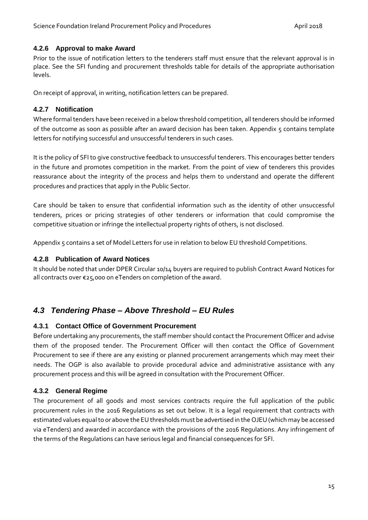# <span id="page-14-0"></span>**4.2.6 Approval to make Award**

Prior to the issue of notification letters to the tenderers staff must ensure that the relevant approval is in place. See the SFI funding and procurement thresholds table for details of the appropriate authorisation levels.

On receipt of approval, in writing, notification letters can be prepared.

# <span id="page-14-1"></span>**4.2.7 Notification**

Where formal tenders have been received in a below threshold competition, all tenderers should be informed of the outcome as soon as possible after an award decision has been taken. Appendix 5 contains template letters for notifying successful and unsuccessful tenderers in such cases.

It is the policy of SFI to give constructive feedback to unsuccessful tenderers. This encourages better tenders in the future and promotes competition in the market. From the point of view of tenderers this provides reassurance about the integrity of the process and helps them to understand and operate the different procedures and practices that apply in the Public Sector.

Care should be taken to ensure that confidential information such as the identity of other unsuccessful tenderers, prices or pricing strategies of other tenderers or information that could compromise the competitive situation or infringe the intellectual property rights of others, is not disclosed.

Appendix 5 contains a set of Model Letters for use in relation to below EU threshold Competitions.

# <span id="page-14-2"></span>**4.2.8 Publication of Award Notices**

It should be noted that under DPER Circular 10/14 buyers are required to publish Contract Award Notices for all contracts over €25,000 on eTenders on completion of the award.

# <span id="page-14-3"></span>*4.3 Tendering Phase – Above Threshold – EU Rules*

# <span id="page-14-4"></span>**4.3.1 Contact Office of Government Procurement**

Before undertaking any procurements, the staff member should contact the Procurement Officer and advise them of the proposed tender. The Procurement Officer will then contact the Office of Government Procurement to see if there are any existing or planned procurement arrangements which may meet their needs. The OGP is also available to provide procedural advice and administrative assistance with any procurement process and this will be agreed in consultation with the Procurement Officer.

# <span id="page-14-5"></span>**4.3.2 General Regime**

The procurement of all goods and most services contracts require the full application of the public procurement rules in the 2016 Regulations as set out below. It is a legal requirement that contracts with estimated values equal to or above the EU thresholds must be advertised in the OJEU (which may be accessed via eTenders) and awarded in accordance with the provisions of the 2016 Regulations. Any infringement of the terms of the Regulations can have serious legal and financial consequences for SFI.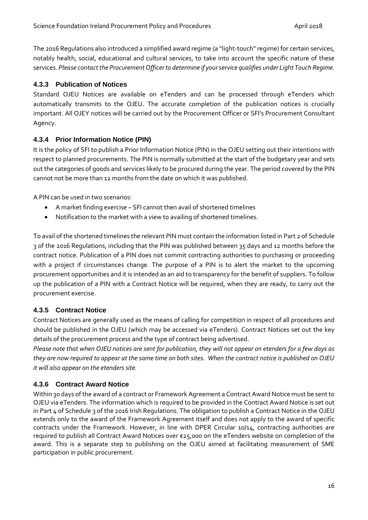The 2016 Regulations also introduced a simplified award regime (a "light-touch" regime) for certain services, notably health, social, educational and cultural services, to take into account the specific nature of these services. *Please contact the Procurement Officer to determine if your service qualifies under Light Touch Regime.* 

# <span id="page-15-0"></span>**4.3.3 Publication of Notices**

Standard OJEU Notices are available on eTenders and can be processed through eTenders which automatically transmits to the OJEU. The accurate completion of the publication notices is crucially important. All OJEY notices will be carried out by the Procurement Officer or SFI's Procurement Consultant Agency.

# <span id="page-15-1"></span>**4.3.4 Prior Information Notice (PIN)**

It is the policy of SFI to publish a Prior Information Notice (PIN) in the OJEU setting out their intentions with respect to planned procurements. The PIN is normally submitted at the start of the budgetary year and sets out the categories of goods and services likely to be procured during the year. The period covered by the PIN cannot not be more than 12 months from the date on which it was published.

A PIN can be used in two scenarios:

- A market finding exercise SFI cannot then avail of shortened timelines
- Notification to the market with a view to availing of shortened timelines.

To avail of the shortened timelines the relevant PIN must contain the information listed in Part 2 of Schedule 3 of the 2016 Regulations, including that the PIN was published between 35 days and 12 months before the contract notice. Publication of a PIN does not commit contracting authorities to purchasing or proceeding with a project if circumstances change. The purpose of a PIN is to alert the market to the upcoming procurement opportunities and it is intended as an aid to transparency for the benefit of suppliers. To follow up the publication of a PIN with a Contract Notice will be required, when they are ready, to carry out the procurement exercise.

# <span id="page-15-2"></span>**4.3.5 Contract Notice**

Contract Notices are generally used as the means of calling for competition in respect of all procedures and should be published in the OJEU (which may be accessed via eTenders). Contract Notices set out the key details of the procurement process and the type of contract being advertised.

*Please note that when OJEU notices are sent for publication, they will not appear on etenders for a few days as they are now required to appear at the same time on both sites. When the contract notice is published on OJEU it will also appear on the etenders site.*

# <span id="page-15-3"></span>**4.3.6 Contract Award Notice**

Within 30 days of the award of a contract or Framework Agreement a Contract Award Notice must be sent to OJEU via eTenders. The information which is required to be provided in the Contract Award Notice is set out in Part 4 of Schedule 3 of the 2016 Irish Regulations. The obligation to publish a Contract Notice in the OJEU extends only to the award of the Framework Agreement itself and does not apply to the award of specific contracts under the Framework. However, in line with DPER Circular 10/14, contracting authorities are required to publish all Contract Award Notices over €25,000 on the eTenders website on completion of the award. This is a separate step to publishing on the OJEU aimed at facilitating measurement of SME participation in public procurement.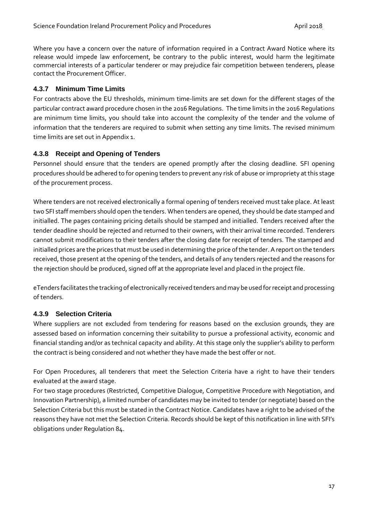Where you have a concern over the nature of information required in a Contract Award Notice where its release would impede law enforcement, be contrary to the public interest, would harm the legitimate commercial interests of a particular tenderer or may prejudice fair competition between tenderers, please contact the Procurement Officer.

# <span id="page-16-0"></span>**4.3.7 Minimum Time Limits**

For contracts above the EU thresholds, minimum time-limits are set down for the different stages of the particular contract award procedure chosen in the 2016 Regulations. The time limits in the 2016 Regulations are minimum time limits, you should take into account the complexity of the tender and the volume of information that the tenderers are required to submit when setting any time limits. The revised minimum time limits are set out in Appendix 1.

# <span id="page-16-1"></span>**4.3.8 Receipt and Opening of Tenders**

Personnel should ensure that the tenders are opened promptly after the closing deadline. SFI opening procedures should be adhered to for opening tenders to prevent any risk of abuse or impropriety at this stage of the procurement process.

Where tenders are not received electronically a formal opening of tenders received must take place. At least two SFI staff members should open the tenders. When tenders are opened, they should be date stamped and initialled. The pages containing pricing details should be stamped and initialled. Tenders received after the tender deadline should be rejected and returned to their owners, with their arrival time recorded. Tenderers cannot submit modifications to their tenders after the closing date for receipt of tenders. The stamped and initialled prices are the prices that must be used in determining the price of the tender. A report on the tenders received, those present at the opening of the tenders, and details of any tenders rejected and the reasons for the rejection should be produced, signed off at the appropriate level and placed in the project file.

eTenders facilitates the tracking of electronically received tenders and may be used for receipt and processing of tenders.

# <span id="page-16-2"></span>**4.3.9 Selection Criteria**

Where suppliers are not excluded from tendering for reasons based on the exclusion grounds, they are assessed based on information concerning their suitability to pursue a professional activity, economic and financial standing and/or as technical capacity and ability. At this stage only the supplier's ability to perform the contract is being considered and not whether they have made the best offer or not.

For Open Procedures, all tenderers that meet the Selection Criteria have a right to have their tenders evaluated at the award stage.

For two stage procedures (Restricted, Competitive Dialogue, Competitive Procedure with Negotiation, and Innovation Partnership), a limited number of candidates may be invited to tender (or negotiate) based on the Selection Criteria but this must be stated in the Contract Notice. Candidates have a right to be advised of the reasons they have not met the Selection Criteria. Records should be kept of this notification in line with SFI's obligations under Regulation 84.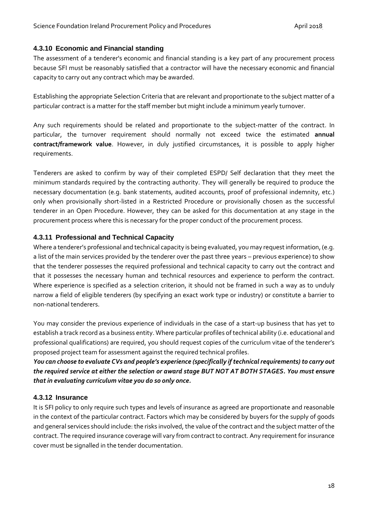# <span id="page-17-0"></span>**4.3.10 Economic and Financial standing**

The assessment of a tenderer's economic and financial standing is a key part of any procurement process because SFI must be reasonably satisfied that a contractor will have the necessary economic and financial capacity to carry out any contract which may be awarded.

Establishing the appropriate Selection Criteria that are relevant and proportionate to the subject matter of a particular contract is a matter for the staff member but might include a minimum yearly turnover.

Any such requirements should be related and proportionate to the subject-matter of the contract. In particular, the turnover requirement should normally not exceed twice the estimated **annual contract/framework value**. However, in duly justified circumstances, it is possible to apply higher requirements.

Tenderers are asked to confirm by way of their completed ESPD/ Self declaration that they meet the minimum standards required by the contracting authority. They will generally be required to produce the necessary documentation (e.g. bank statements, audited accounts, proof of professional indemnity, etc.) only when provisionally short-listed in a Restricted Procedure or provisionally chosen as the successful tenderer in an Open Procedure. However, they can be asked for this documentation at any stage in the procurement process where this is necessary for the proper conduct of the procurement process.

# <span id="page-17-1"></span>**4.3.11 Professional and Technical Capacity**

Where a tenderer's professional and technical capacity is being evaluated, you may request information, (e.g. a list of the main services provided by the tenderer over the past three years – previous experience) to show that the tenderer possesses the required professional and technical capacity to carry out the contract and that it possesses the necessary human and technical resources and experience to perform the contract. Where experience is specified as a selection criterion, it should not be framed in such a way as to unduly narrow a field of eligible tenderers (by specifying an exact work type or industry) or constitute a barrier to non-national tenderers.

You may consider the previous experience of individuals in the case of a start-up business that has yet to establish a track record as a business entity. Where particular profiles of technical ability (i.e. educational and professional qualifications) are required, you should request copies of the curriculum vitae of the tenderer's proposed project team for assessment against the required technical profiles.

*You can choose to evaluate CVs and people's experience (specifically if technical requirements) to carry out the required service at either the selection or award stage BUT NOT AT BOTH STAGES. You must ensure that in evaluating curriculum vitae you do so only once.*

# <span id="page-17-2"></span>**4.3.12 Insurance**

It is SFI policy to only require such types and levels of insurance as agreed are proportionate and reasonable in the context of the particular contract. Factors which may be considered by buyers for the supply of goods and general services should include: the risks involved, the value of the contract and the subject matter of the contract. The required insurance coverage will vary from contract to contract. Any requirement for insurance cover must be signalled in the tender documentation.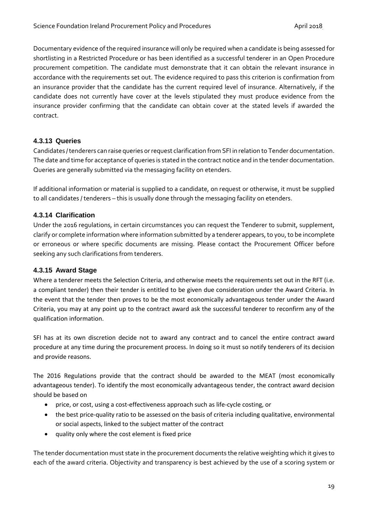Documentary evidence of the required insurance will only be required when a candidate is being assessed for shortlisting in a Restricted Procedure or has been identified as a successful tenderer in an Open Procedure procurement competition. The candidate must demonstrate that it can obtain the relevant insurance in accordance with the requirements set out. The evidence required to pass this criterion is confirmation from an insurance provider that the candidate has the current required level of insurance. Alternatively, if the candidate does not currently have cover at the levels stipulated they must produce evidence from the insurance provider confirming that the candidate can obtain cover at the stated levels if awarded the contract.

# <span id="page-18-0"></span>**4.3.13 Queries**

Candidates / tenderers can raise queries or request clarification from SFI in relation to Tender documentation. The date and time for acceptance of queries is stated in the contract notice and in the tender documentation. Queries are generally submitted via the messaging facility on etenders.

If additional information or material is supplied to a candidate, on request or otherwise, it must be supplied to all candidates / tenderers – this is usually done through the messaging facility on etenders.

# <span id="page-18-1"></span>**4.3.14 Clarification**

Under the 2016 regulations, in certain circumstances you can request the Tenderer to submit, supplement, clarify or complete information where information submitted by a tenderer appears, to you, to be incomplete or erroneous or where specific documents are missing. Please contact the Procurement Officer before seeking any such clarifications from tenderers.

# <span id="page-18-2"></span>**4.3.15 Award Stage**

Where a tenderer meets the Selection Criteria, and otherwise meets the requirements set out in the RFT (i.e. a compliant tender) then their tender is entitled to be given due consideration under the Award Criteria. In the event that the tender then proves to be the most economically advantageous tender under the Award Criteria, you may at any point up to the contract award ask the successful tenderer to reconfirm any of the qualification information.

SFI has at its own discretion decide not to award any contract and to cancel the entire contract award procedure at any time during the procurement process. In doing so it must so notify tenderers of its decision and provide reasons.

The 2016 Regulations provide that the contract should be awarded to the MEAT (most economically advantageous tender). To identify the most economically advantageous tender, the contract award decision should be based on

- price, or cost, using a cost-effectiveness approach such as life-cycle costing, or
- the best price-quality ratio to be assessed on the basis of criteria including qualitative, environmental or social aspects, linked to the subject matter of the contract
- quality only where the cost element is fixed price

The tender documentation must state in the procurement documents the relative weighting which it gives to each of the award criteria. Objectivity and transparency is best achieved by the use of a scoring system or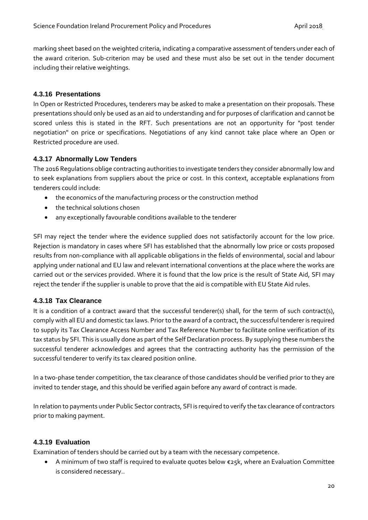marking sheet based on the weighted criteria, indicating a comparative assessment of tenders under each of the award criterion. Sub-criterion may be used and these must also be set out in the tender document including their relative weightings.

# <span id="page-19-0"></span>**4.3.16 Presentations**

In Open or Restricted Procedures, tenderers may be asked to make a presentation on their proposals. These presentations should only be used as an aid to understanding and for purposes of clarification and cannot be scored unless this is stated in the RFT. Such presentations are not an opportunity for "post tender negotiation" on price or specifications. Negotiations of any kind cannot take place where an Open or Restricted procedure are used.

# <span id="page-19-1"></span>**4.3.17 Abnormally Low Tenders**

The 2016 Regulations oblige contracting authorities to investigate tenders they consider abnormally low and to seek explanations from suppliers about the price or cost. In this context, acceptable explanations from tenderers could include:

- the economics of the manufacturing process or the construction method
- the technical solutions chosen
- any exceptionally favourable conditions available to the tenderer

SFI may reject the tender where the evidence supplied does not satisfactorily account for the low price. Rejection is mandatory in cases where SFI has established that the abnormally low price or costs proposed results from non-compliance with all applicable obligations in the fields of environmental, social and labour applying under national and EU law and relevant international conventions at the place where the works are carried out or the services provided. Where it is found that the low price is the result of State Aid, SFI may reject the tender if the supplier is unable to prove that the aid is compatible with EU State Aid rules.

# <span id="page-19-2"></span>**4.3.18 Tax Clearance**

It is a condition of a contract award that the successful tenderer(s) shall, for the term of such contract(s), comply with all EU and domestic tax laws. Prior to the award of a contract, the successful tenderer is required to supply its Tax Clearance Access Number and Tax Reference Number to facilitate online verification of its tax status by SFI. This is usually done as part of the Self Declaration process. By supplying these numbers the successful tenderer acknowledges and agrees that the contracting authority has the permission of the successful tenderer to verify its tax cleared position online.

In a two-phase tender competition, the tax clearance of those candidates should be verified prior to they are invited to tender stage, and this should be verified again before any award of contract is made.

In relation to payments under Public Sector contracts, SFI is required to verify the tax clearance of contractors prior to making payment.

# <span id="page-19-3"></span>**4.3.19 Evaluation**

Examination of tenders should be carried out by a team with the necessary competence.

• A minimum of two staff is required to evaluate quotes below €25k, where an Evaluation Committee is considered necessary..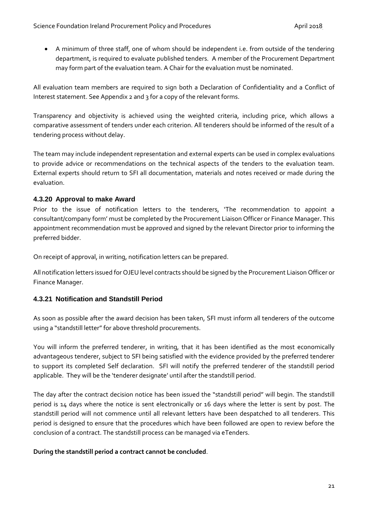• A minimum of three staff, one of whom should be independent i.e. from outside of the tendering department, is required to evaluate published tenders. A member of the Procurement Department may form part of the evaluation team. A Chair for the evaluation must be nominated.

All evaluation team members are required to sign both a Declaration of Confidentiality and a Conflict of Interest statement. See Appendix 2 and 3 for a copy of the relevant forms.

Transparency and objectivity is achieved using the weighted criteria, including price, which allows a comparative assessment of tenders under each criterion. All tenderers should be informed of the result of a tendering process without delay.

The team may include independent representation and external experts can be used in complex evaluations to provide advice or recommendations on the technical aspects of the tenders to the evaluation team. External experts should return to SFI all documentation, materials and notes received or made during the evaluation.

# <span id="page-20-0"></span>**4.3.20 Approval to make Award**

Prior to the issue of notification letters to the tenderers, 'The recommendation to appoint a consultant/company form' must be completed by the Procurement Liaison Officer or Finance Manager. This appointment recommendation must be approved and signed by the relevant Director prior to informing the preferred bidder.

On receipt of approval, in writing, notification letters can be prepared.

All notification letters issued for OJEU level contracts should be signed by the Procurement Liaison Officer or Finance Manager.

# <span id="page-20-1"></span>**4.3.21 Notification and Standstill Period**

As soon as possible after the award decision has been taken, SFI must inform all tenderers of the outcome using a "standstill letter" for above threshold procurements.

You will inform the preferred tenderer, in writing, that it has been identified as the most economically advantageous tenderer, subject to SFI being satisfied with the evidence provided by the preferred tenderer to support its completed Self declaration. SFI will notify the preferred tenderer of the standstill period applicable. They will be the 'tenderer designate' until after the standstill period.

The day after the contract decision notice has been issued the "standstill period" will begin. The standstill period is 14 days where the notice is sent electronically or 16 days where the letter is sent by post. The standstill period will not commence until all relevant letters have been despatched to all tenderers. This period is designed to ensure that the procedures which have been followed are open to review before the conclusion of a contract. The standstill process can be managed via eTenders.

#### **During the standstill period a contract cannot be concluded**.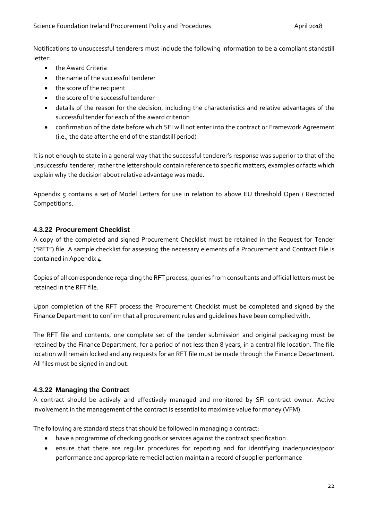Notifications to unsuccessful tenderers must include the following information to be a compliant standstill letter:

- the Award Criteria
- the name of the successful tenderer
- the score of the recipient
- the score of the successful tenderer
- details of the reason for the decision, including the characteristics and relative advantages of the successful tender for each of the award criterion
- confirmation of the date before which SFI will not enter into the contract or Framework Agreement (i.e., the date after the end of the standstill period)

It is not enough to state in a general way that the successful tenderer's response was superior to that of the unsuccessful tenderer; rather the letter should contain reference to specific matters, examples or facts which explain why the decision about relative advantage was made.

Appendix 5 contains a set of Model Letters for use in relation to above EU threshold Open / Restricted Competitions.

# <span id="page-21-0"></span>**4.3.22 Procurement Checklist**

A copy of the completed and signed Procurement Checklist must be retained in the Request for Tender ("RFT") file. A sample checklist for assessing the necessary elements of a Procurement and Contract File is contained in Appendix 4.

Copies of all correspondence regarding the RFT process, queries from consultants and official letters must be retained in the RFT file.

Upon completion of the RFT process the Procurement Checklist must be completed and signed by the Finance Department to confirm that all procurement rules and guidelines have been complied with.

The RFT file and contents, one complete set of the tender submission and original packaging must be retained by the Finance Department, for a period of not less than 8 years, in a central file location. The file location will remain locked and any requests for an RFT file must be made through the Finance Department. All files must be signed in and out.

# <span id="page-21-1"></span>**4.3.22 Managing the Contract**

A contract should be actively and effectively managed and monitored by SFI contract owner. Active involvement in the management of the contract is essential to maximise value for money (VFM).

The following are standard steps that should be followed in managing a contract:

- have a programme of checking goods or services against the contract specification
- ensure that there are regular procedures for reporting and for identifying inadequacies/poor performance and appropriate remedial action maintain a record of supplier performance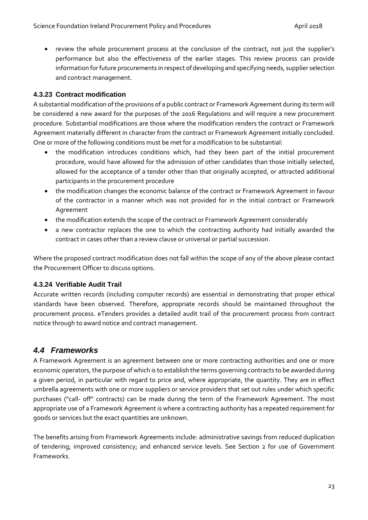• review the whole procurement process at the conclusion of the contract, not just the supplier's performance but also the effectiveness of the earlier stages. This review process can provide information for future procurements in respect of developing and specifying needs, supplier selection and contract management.

# <span id="page-22-0"></span>**4.3.23 Contract modification**

A substantial modification of the provisions of a public contract or Framework Agreement during its term will be considered a new award for the purposes of the 2016 Regulations and will require a new procurement procedure. Substantial modifications are those where the modification renders the contract or Framework Agreement materially different in character from the contract or Framework Agreement initially concluded. One or more of the following conditions must be met for a modification to be substantial:

- the modification introduces conditions which, had they been part of the initial procurement procedure, would have allowed for the admission of other candidates than those initially selected, allowed for the acceptance of a tender other than that originally accepted, or attracted additional participants in the procurement procedure
- the modification changes the economic balance of the contract or Framework Agreement in favour of the contractor in a manner which was not provided for in the initial contract or Framework Agreement
- the modification extends the scope of the contract or Framework Agreement considerably
- a new contractor replaces the one to which the contracting authority had initially awarded the contract in cases other than a review clause or universal or partial succession.

Where the proposed contract modification does not fall within the scope of any of the above please contact the Procurement Officer to discuss options.

# <span id="page-22-1"></span>**4.3.24 Verifiable Audit Trail**

Accurate written records (including computer records) are essential in demonstrating that proper ethical standards have been observed. Therefore, appropriate records should be maintained throughout the procurement process. eTenders provides a detailed audit trail of the procurement process from contract notice through to award notice and contract management.

# <span id="page-22-2"></span>*4.4 Frameworks*

A Framework Agreement is an agreement between one or more contracting authorities and one or more economic operators, the purpose of which is to establish the terms governing contracts to be awarded during a given period, in particular with regard to price and, where appropriate, the quantity. They are in effect umbrella agreements with one or more suppliers or service providers that set out rules under which specific purchases ("call- off" contracts) can be made during the term of the Framework Agreement. The most appropriate use of a Framework Agreement is where a contracting authority has a repeated requirement for goods or services but the exact quantities are unknown.

The benefits arising from Framework Agreements include: administrative savings from reduced duplication of tendering; improved consistency; and enhanced service levels. See Section 2 for use of Government Frameworks.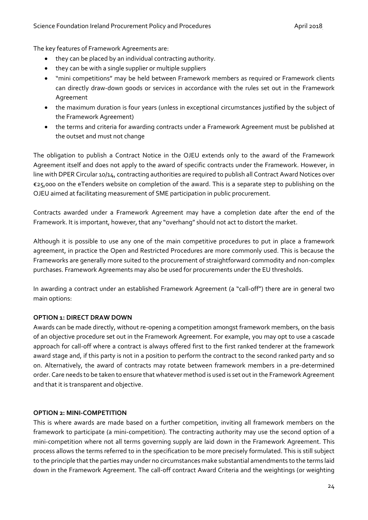The key features of Framework Agreements are:

- they can be placed by an individual contracting authority.
- they can be with a single supplier or multiple suppliers
- "mini competitions" may be held between Framework members as required or Framework clients can directly draw-down goods or services in accordance with the rules set out in the Framework Agreement
- the maximum duration is four years (unless in exceptional circumstances justified by the subject of the Framework Agreement)
- the terms and criteria for awarding contracts under a Framework Agreement must be published at the outset and must not change

The obligation to publish a Contract Notice in the OJEU extends only to the award of the Framework Agreement itself and does not apply to the award of specific contracts under the Framework. However, in line with DPER Circular 10/14, contracting authorities are required to publish all Contract Award Notices over €25,000 on the eTenders website on completion of the award. This is a separate step to publishing on the OJEU aimed at facilitating measurement of SME participation in public procurement.

Contracts awarded under a Framework Agreement may have a completion date after the end of the Framework. It is important, however, that any "overhang" should not act to distort the market.

Although it is possible to use any one of the main competitive procedures to put in place a framework agreement, in practice the Open and Restricted Procedures are more commonly used. This is because the Frameworks are generally more suited to the procurement of straightforward commodity and non-complex purchases. Framework Agreements may also be used for procurements under the EU thresholds.

In awarding a contract under an established Framework Agreement (a "call-off") there are in general two main options:

# **OPTION 1: DIRECT DRAW DOWN**

Awards can be made directly, without re-opening a competition amongst framework members, on the basis of an objective procedure set out in the Framework Agreement. For example, you may opt to use a cascade approach for call-off where a contract is always offered first to the first ranked tenderer at the framework award stage and, if this party is not in a position to perform the contract to the second ranked party and so on. Alternatively, the award of contracts may rotate between framework members in a pre-determined order. Care needs to be taken to ensure that whatever method is used is set out in the Framework Agreement and that it is transparent and objective.

# **OPTION 2: MINI-COMPETITION**

This is where awards are made based on a further competition, inviting all framework members on the framework to participate (a mini-competition). The contracting authority may use the second option of a mini-competition where not all terms governing supply are laid down in the Framework Agreement. This process allows the terms referred to in the specification to be more precisely formulated. This is still subject to the principle that the parties may under no circumstances make substantial amendments to the terms laid down in the Framework Agreement. The call-off contract Award Criteria and the weightings (or weighting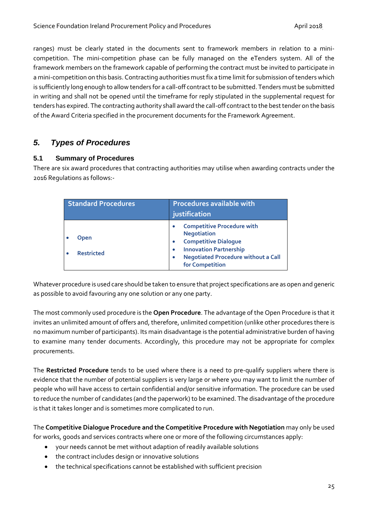ranges) must be clearly stated in the documents sent to framework members in relation to a minicompetition. The mini-competition phase can be fully managed on the eTenders system. All of the framework members on the framework capable of performing the contract must be invited to participate in a mini-competition on this basis. Contracting authorities must fix a time limit for submission of tenders which is sufficiently long enough to allow tenders for a call-off contract to be submitted. Tenders must be submitted in writing and shall not be opened until the timeframe for reply stipulated in the supplemental request for tenders has expired. The contracting authority shall award the call-off contract to the best tender on the basis of the Award Criteria specified in the procurement documents for the Framework Agreement.

# <span id="page-24-0"></span>*5. Types of Procedures*

# <span id="page-24-1"></span>**5.1 Summary of Procedures**

There are six award procedures that contracting authorities may utilise when awarding contracts under the 2016 Regulations as follows:-

| <b>Standard Procedures</b> |                                  | <b>Procedures available with</b><br>justification                                                                                                                                        |  |  |
|----------------------------|----------------------------------|------------------------------------------------------------------------------------------------------------------------------------------------------------------------------------------|--|--|
|                            | <b>Open</b><br><b>Restricted</b> | <b>Competitive Procedure with</b><br><b>Negotiation</b><br><b>Competitive Dialogue</b><br><b>Innovation Partnership</b><br><b>Negotiated Procedure without a Call</b><br>for Competition |  |  |

Whatever procedure is used care should be taken to ensure that project specifications are as open and generic as possible to avoid favouring any one solution or any one party.

The most commonly used procedure is the **Open Procedure**. The advantage of the Open Procedure is that it invites an unlimited amount of offers and, therefore, unlimited competition (unlike other procedures there is no maximum number of participants). Its main disadvantage is the potential administrative burden of having to examine many tender documents. Accordingly, this procedure may not be appropriate for complex procurements.

The **Restricted Procedure** tends to be used where there is a need to pre-qualify suppliers where there is evidence that the number of potential suppliers is very large or where you may want to limit the number of people who will have access to certain confidential and/or sensitive information. The procedure can be used to reduce the number of candidates (and the paperwork) to be examined. The disadvantage of the procedure is that it takes longer and is sometimes more complicated to run.

The **Competitive Dialogue Procedure and the Competitive Procedure with Negotiation** may only be used for works, goods and services contracts where one or more of the following circumstances apply:

- your needs cannot be met without adaption of readily available solutions
- the contract includes design or innovative solutions
- the technical specifications cannot be established with sufficient precision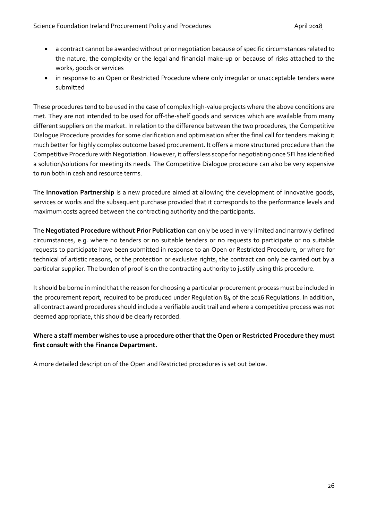- a contract cannot be awarded without prior negotiation because of specific circumstances related to the nature, the complexity or the legal and financial make-up or because of risks attached to the works, goods or services
- in response to an Open or Restricted Procedure where only irregular or unacceptable tenders were submitted

These procedures tend to be used in the case of complex high-value projects where the above conditions are met. They are not intended to be used for off-the-shelf goods and services which are available from many different suppliers on the market. In relation to the difference between the two procedures, the Competitive Dialogue Procedure provides for some clarification and optimisation after the final call for tenders making it much better for highly complex outcome based procurement. It offers a more structured procedure than the Competitive Procedure with Negotiation. However, it offers less scope for negotiating once SFI has identified a solution/solutions for meeting its needs. The Competitive Dialogue procedure can also be very expensive to run both in cash and resource terms.

The **Innovation Partnership** is a new procedure aimed at allowing the development of innovative goods, services or works and the subsequent purchase provided that it corresponds to the performance levels and maximum costs agreed between the contracting authority and the participants.

The **Negotiated Procedure without Prior Publication** can only be used in very limited and narrowly defined circumstances, e.g. where no tenders or no suitable tenders or no requests to participate or no suitable requests to participate have been submitted in response to an Open or Restricted Procedure, or where for technical of artistic reasons, or the protection or exclusive rights, the contract can only be carried out by a particular supplier. The burden of proof is on the contracting authority to justify using this procedure.

It should be borne in mind that the reason for choosing a particular procurement process must be included in the procurement report, required to be produced under Regulation 84 of the 2016 Regulations. In addition, all contract award procedures should include a verifiable audit trail and where a competitive process was not deemed appropriate, this should be clearly recorded.

# **Where a staff member wishes to use a procedure other that the Open or Restricted Procedure they must first consult with the Finance Department.**

A more detailed description of the Open and Restricted procedures is set out below.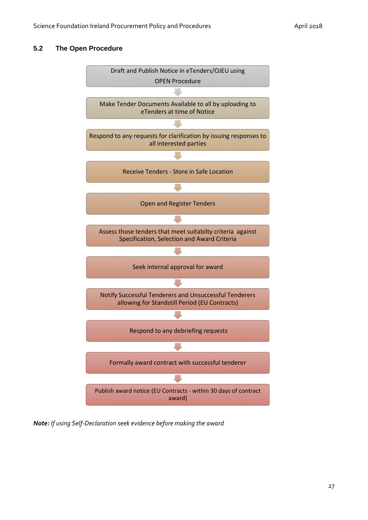#### <span id="page-26-0"></span>**5.2 The Open Procedure**



*Note: If using Self-Declaration seek evidence before making the award*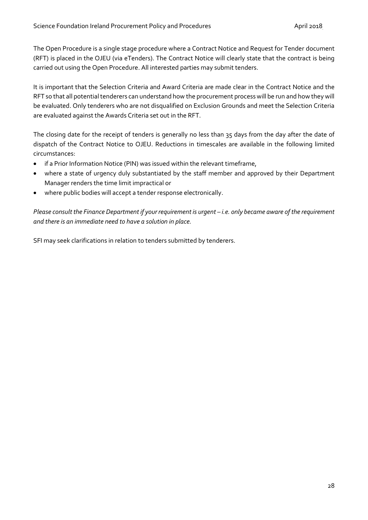The Open Procedure is a single stage procedure where a Contract Notice and Request for Tender document (RFT) is placed in the OJEU (via eTenders). The Contract Notice will clearly state that the contract is being carried out using the Open Procedure. All interested parties may submit tenders.

It is important that the Selection Criteria and Award Criteria are made clear in the Contract Notice and the RFT so that all potential tenderers can understand how the procurement process will be run and how they will be evaluated. Only tenderers who are not disqualified on Exclusion Grounds and meet the Selection Criteria are evaluated against the Awards Criteria set out in the RFT.

The closing date for the receipt of tenders is generally no less than 35 days from the day after the date of dispatch of the Contract Notice to OJEU. Reductions in timescales are available in the following limited circumstances:

- if a Prior Information Notice (PIN) was issued within the relevant timeframe,
- where a state of urgency duly substantiated by the staff member and approved by their Department Manager renders the time limit impractical or
- where public bodies will accept a tender response electronically.

*Please consult the Finance Department if your requirement is urgent – i.e. only became aware of the requirement and there is an immediate need to have a solution in place.*

SFI may seek clarifications in relation to tenders submitted by tenderers.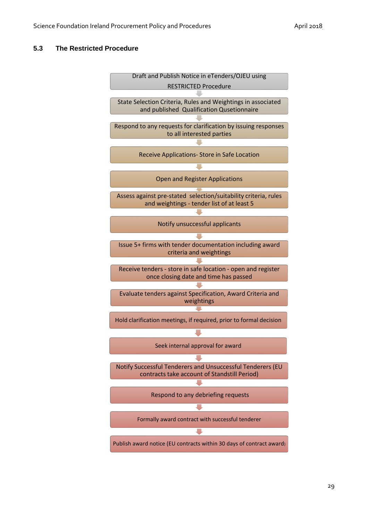#### <span id="page-28-0"></span>**5.3 The Restricted Procedure**

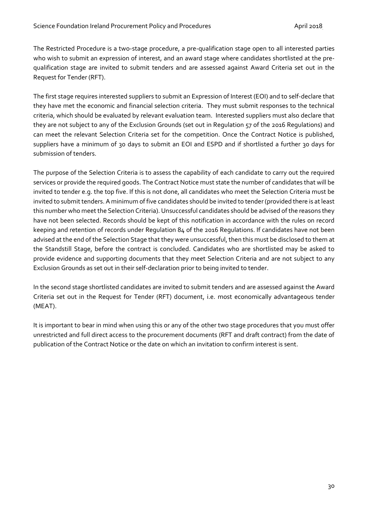The Restricted Procedure is a two-stage procedure, a pre-qualification stage open to all interested parties who wish to submit an expression of interest, and an award stage where candidates shortlisted at the prequalification stage are invited to submit tenders and are assessed against Award Criteria set out in the Request for Tender (RFT).

The first stage requires interested suppliers to submit an Expression of Interest (EOI) and to self-declare that they have met the economic and financial selection criteria. They must submit responses to the technical criteria, which should be evaluated by relevant evaluation team. Interested suppliers must also declare that they are not subject to any of the Exclusion Grounds (set out in Regulation 57 of the 2016 Regulations) and can meet the relevant Selection Criteria set for the competition. Once the Contract Notice is published, suppliers have a minimum of 30 days to submit an EOI and ESPD and if shortlisted a further 30 days for submission of tenders.

The purpose of the Selection Criteria is to assess the capability of each candidate to carry out the required services or provide the required goods. The Contract Notice must state the number of candidates that will be invited to tender e.g. the top five. If this is not done, all candidates who meet the Selection Criteria must be invited to submit tenders. A minimum of five candidates should be invited to tender (provided there is at least this number who meet the Selection Criteria). Unsuccessful candidates should be advised of the reasons they have not been selected. Records should be kept of this notification in accordance with the rules on record keeping and retention of records under Regulation 84 of the 2016 Regulations. If candidates have not been advised at the end of the Selection Stage that they were unsuccessful, then this must be disclosed to them at the Standstill Stage, before the contract is concluded. Candidates who are shortlisted may be asked to provide evidence and supporting documents that they meet Selection Criteria and are not subject to any Exclusion Grounds as set out in their self-declaration prior to being invited to tender.

In the second stage shortlisted candidates are invited to submit tenders and are assessed against the Award Criteria set out in the Request for Tender (RFT) document, i.e. most economically advantageous tender (MEAT).

It is important to bear in mind when using this or any of the other two stage procedures that you must offer unrestricted and full direct access to the procurement documents (RFT and draft contract) from the date of publication of the Contract Notice or the date on which an invitation to confirm interest is sent.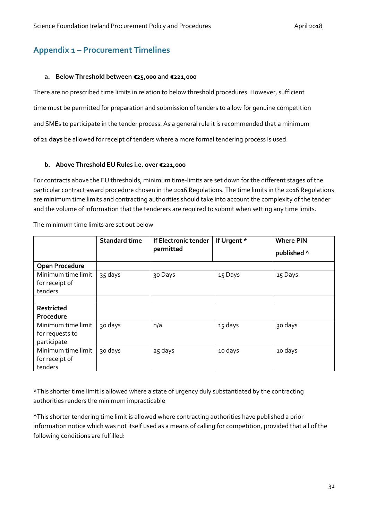# <span id="page-30-0"></span>**Appendix 1 – Procurement Timelines**

#### **a. Below Threshold between €25,000 and €221,000**

There are no prescribed time limits in relation to below threshold procedures. However, sufficient time must be permitted for preparation and submission of tenders to allow for genuine competition and SMEs to participate in the tender process. As a general rule it is recommended that a minimum **of 21 days** be allowed for receipt of tenders where a more formal tendering process is used.

#### **b. Above Threshold EU Rules i.e. over €221,000**

For contracts above the EU thresholds, minimum time-limits are set down for the different stages of the particular contract award procedure chosen in the 2016 Regulations. The time limits in the 2016 Regulations are minimum time limits and contracting authorities should take into account the complexity of the tender and the volume of information that the tenderers are required to submit when setting any time limits.

|                       | <b>Standard time</b> | If Electronic tender | If Urgent * | <b>Where PIN</b> |
|-----------------------|----------------------|----------------------|-------------|------------------|
|                       |                      | permitted            |             | published ^      |
| <b>Open Procedure</b> |                      |                      |             |                  |
| Minimum time limit    | 35 days              | 30 Days              | 15 Days     | 15 Days          |
| for receipt of        |                      |                      |             |                  |
| tenders               |                      |                      |             |                  |
|                       |                      |                      |             |                  |
| Restricted            |                      |                      |             |                  |
| Procedure             |                      |                      |             |                  |
| Minimum time limit    | 30 days              | n/a                  | 15 days     | 30 days          |
| for requests to       |                      |                      |             |                  |
| participate           |                      |                      |             |                  |
| Minimum time limit    | 30 days              | 25 days              | 10 days     | 10 days          |
| for receipt of        |                      |                      |             |                  |
| tenders               |                      |                      |             |                  |

The minimum time limits are set out below

\*This shorter time limit is allowed where a state of urgency duly substantiated by the contracting authorities renders the minimum impracticable

^This shorter tendering time limit is allowed where contracting authorities have published a prior information notice which was not itself used as a means of calling for competition, provided that all of the following conditions are fulfilled: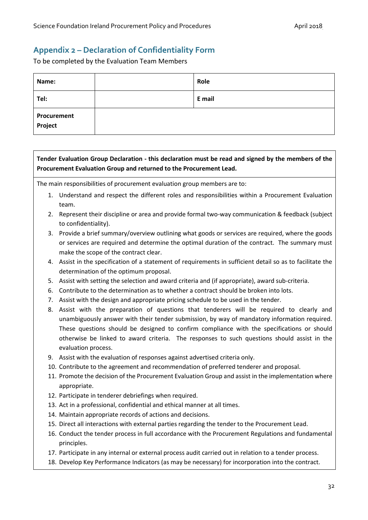# <span id="page-31-0"></span>**Appendix 2 – Declaration of Confidentiality Form**

To be completed by the Evaluation Team Members

| Name:                  | Role   |
|------------------------|--------|
| Tel:                   | E mail |
| Procurement<br>Project |        |

# **Tender Evaluation Group Declaration - this declaration must be read and signed by the members of the Procurement Evaluation Group and returned to the Procurement Lead.**

The main responsibilities of procurement evaluation group members are to:

- 1. Understand and respect the different roles and responsibilities within a Procurement Evaluation team.
- 2. Represent their discipline or area and provide formal two-way communication & feedback (subject to confidentiality).
- 3. Provide a brief summary/overview outlining what goods or services are required, where the goods or services are required and determine the optimal duration of the contract. The summary must make the scope of the contract clear.
- 4. Assist in the specification of a statement of requirements in sufficient detail so as to facilitate the determination of the optimum proposal.
- 5. Assist with setting the selection and award criteria and (if appropriate), award sub-criteria.
- 6. Contribute to the determination as to whether a contract should be broken into lots.
- 7. Assist with the design and appropriate pricing schedule to be used in the tender.
- 8. Assist with the preparation of questions that tenderers will be required to clearly and unambiguously answer with their tender submission, by way of mandatory information required. These questions should be designed to confirm compliance with the specifications or should otherwise be linked to award criteria. The responses to such questions should assist in the evaluation process.
- 9. Assist with the evaluation of responses against advertised criteria only.
- 10. Contribute to the agreement and recommendation of preferred tenderer and proposal.
- 11. Promote the decision of the Procurement Evaluation Group and assist in the implementation where appropriate.
- 12. Participate in tenderer debriefings when required.
- 13. Act in a professional, confidential and ethical manner at all times.
- 14. Maintain appropriate records of actions and decisions.
- 15. Direct all interactions with external parties regarding the tender to the Procurement Lead.
- 16. Conduct the tender process in full accordance with the Procurement Regulations and fundamental principles.
- 17. Participate in any internal or external process audit carried out in relation to a tender process.
- 18. Develop Key Performance Indicators (as may be necessary) for incorporation into the contract.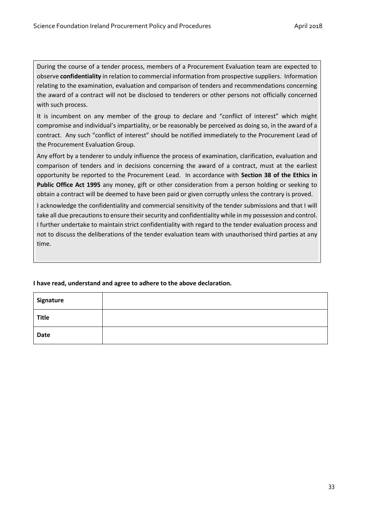During the course of a tender process, members of a Procurement Evaluation team are expected to observe **confidentiality** in relation to commercial information from prospective suppliers. Information relating to the examination, evaluation and comparison of tenders and recommendations concerning the award of a contract will not be disclosed to tenderers or other persons not officially concerned with such process.

It is incumbent on any member of the group to declare and "conflict of interest" which might compromise and individual's impartiality, or be reasonably be perceived as doing so, in the award of a contract. Any such "conflict of interest" should be notified immediately to the Procurement Lead of the Procurement Evaluation Group.

Any effort by a tenderer to unduly influence the process of examination, clarification, evaluation and comparison of tenders and in decisions concerning the award of a contract, must at the earliest opportunity be reported to the Procurement Lead. In accordance with **Section 38 of the Ethics in Public Office Act 1995** any money, gift or other consideration from a person holding or seeking to obtain a contract will be deemed to have been paid or given corruptly unless the contrary is proved.

I acknowledge the confidentiality and commercial sensitivity of the tender submissions and that I will take all due precautions to ensure their security and confidentiality while in my possession and control. I further undertake to maintain strict confidentiality with regard to the tender evaluation process and not to discuss the deliberations of the tender evaluation team with unauthorised third parties at any time.

| Signature    |  |
|--------------|--|
| <b>Title</b> |  |
| <b>Date</b>  |  |

#### **I have read, understand and agree to adhere to the above declaration.**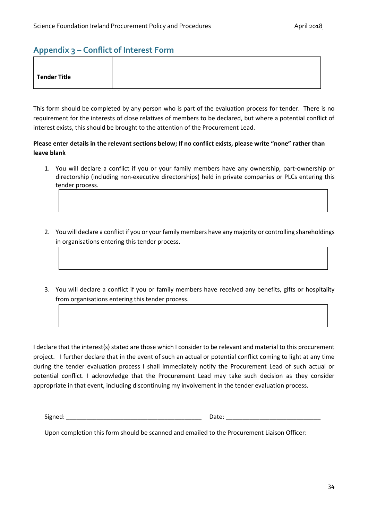# <span id="page-33-0"></span>**Appendix 3 – Conflict of Interest Form**

| Tender Title |
|--------------|
|--------------|

This form should be completed by any person who is part of the evaluation process for tender. There is no requirement for the interests of close relatives of members to be declared, but where a potential conflict of interest exists, this should be brought to the attention of the Procurement Lead.

#### **Please enter details in the relevant sections below; If no conflict exists, please write "none" rather than leave blank**

- 1. You will declare a conflict if you or your family members have any ownership, part-ownership or directorship (including non-executive directorships) held in private companies or PLCs entering this tender process.
- 2. You will declare a conflict if you or your family members have any majority or controlling shareholdings in organisations entering this tender process.
- 3. You will declare a conflict if you or family members have received any benefits, gifts or hospitality from organisations entering this tender process.

I declare that the interest(s) stated are those which I consider to be relevant and material to this procurement project. I further declare that in the event of such an actual or potential conflict coming to light at any time during the tender evaluation process I shall immediately notify the Procurement Lead of such actual or potential conflict. I acknowledge that the Procurement Lead may take such decision as they consider appropriate in that event, including discontinuing my involvement in the tender evaluation process.

Signed: \_\_\_\_\_\_\_\_\_\_\_\_\_\_\_\_\_\_\_\_\_\_\_\_\_\_\_\_\_\_\_\_\_\_\_\_\_\_\_\_ Date: \_\_\_\_\_\_\_\_\_\_\_\_\_\_\_\_\_\_\_\_\_\_\_\_\_\_\_\_

Upon completion this form should be scanned and emailed to the Procurement Liaison Officer: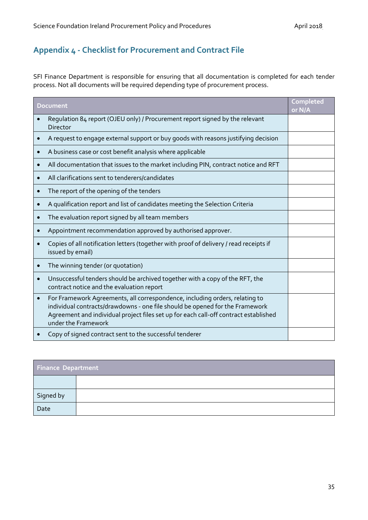# <span id="page-34-0"></span>**Appendix 4 - Checklist for Procurement and Contract File**

SFI Finance Department is responsible for ensuring that all documentation is completed for each tender process. Not all documents will be required depending type of procurement process.

| <b>Document</b> |                                                                                                                                                                                                                                                                            | Completed<br>or N/A |
|-----------------|----------------------------------------------------------------------------------------------------------------------------------------------------------------------------------------------------------------------------------------------------------------------------|---------------------|
|                 | Regulation 84 report (OJEU only) / Procurement report signed by the relevant<br><b>Director</b>                                                                                                                                                                            |                     |
|                 | A request to engage external support or buy goods with reasons justifying decision                                                                                                                                                                                         |                     |
| $\bullet$       | A business case or cost benefit analysis where applicable                                                                                                                                                                                                                  |                     |
| $\bullet$       | All documentation that issues to the market including PIN, contract notice and RFT                                                                                                                                                                                         |                     |
| $\bullet$       | All clarifications sent to tenderers/candidates                                                                                                                                                                                                                            |                     |
|                 | The report of the opening of the tenders                                                                                                                                                                                                                                   |                     |
|                 | A qualification report and list of candidates meeting the Selection Criteria                                                                                                                                                                                               |                     |
|                 | The evaluation report signed by all team members                                                                                                                                                                                                                           |                     |
|                 | Appointment recommendation approved by authorised approver.                                                                                                                                                                                                                |                     |
|                 | Copies of all notification letters (together with proof of delivery / read receipts if<br>issued by email)                                                                                                                                                                 |                     |
|                 | The winning tender (or quotation)                                                                                                                                                                                                                                          |                     |
|                 | Unsuccessful tenders should be archived together with a copy of the RFT, the<br>contract notice and the evaluation report                                                                                                                                                  |                     |
| $\bullet$       | For Framework Agreements, all correspondence, including orders, relating to<br>individual contracts/drawdowns - one file should be opened for the Framework<br>Agreement and individual project files set up for each call-off contract established<br>under the Framework |                     |
|                 | Copy of signed contract sent to the successful tenderer                                                                                                                                                                                                                    |                     |

| <b>Finance Department</b> |  |  |
|---------------------------|--|--|
|                           |  |  |
| Signed by                 |  |  |
| Date                      |  |  |